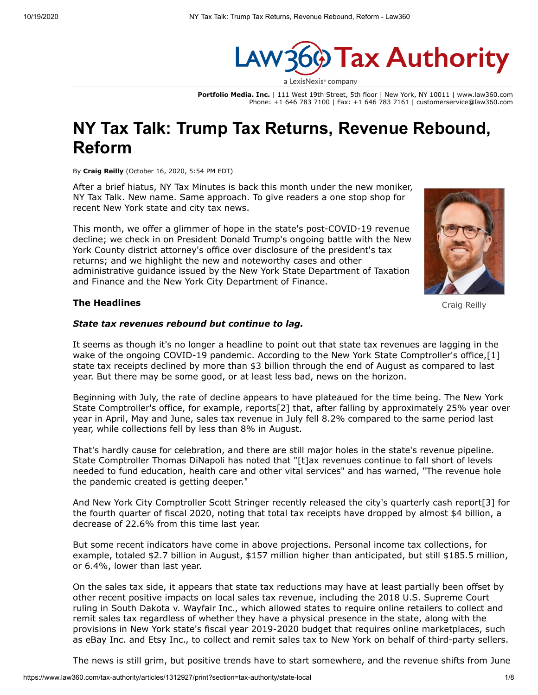

**Portfolio Media. Inc.** | 111 West 19th Street, 5th floor | New York, NY 10011 | www.law360.com Phone: +1 646 783 7100 | Fax: +1 646 783 7161 | customerservice@law360.com

# **NY Tax Talk: Trump Tax Returns, Revenue Rebound, Reform**

By **Craig Reilly** (October 16, 2020, 5:54 PM EDT)

After a brief hiatus, NY Tax Minutes is back this month under the new moniker, NY Tax Talk. New name. Same approach. To give readers a one stop shop for recent New York state and city tax news.

This month, we offer a glimmer of hope in the state's post-COVID-19 revenue decline; we check in on President Donald Trump's ongoing battle with the New York County district attorney's office over disclosure of the president's tax returns; and we highlight the new and noteworthy cases and other [administrative guidance issued by the New York State Department of Taxation](https://www.law360.com/agencies/new-york-state-department-of-taxation-and-finance) and Finance and the [New York City Department of Finance.](https://www.law360.com/agencies/new-york-city-department-of-finance)



#### **The Headlines**

#### *State tax revenues rebound but continue to lag.*

It seems as though it's no longer a headline to point out that state tax revenues are lagging in the wake of the ongoing COVID-19 pandemic. According to the [New York State Comptroller'](https://www.law360.com/agencies/new-york-state-comptroller)s office, [1] state tax receipts declined by more than \$3 billion through the end of August as compared to last year. But there may be some good, or at least less bad, news on the horizon.

Beginning with July, the rate of decline appears to have plateaued for the time being. The New York State Comptroller's office, for example, reports[2] that, after falling by approximately 25% year over year in April, May and June, sales tax revenue in July fell 8.2% compared to the same period last year, while collections fell by less than 8% in August.

That's hardly cause for celebration, and there are still major holes in the state's revenue pipeline. State Comptroller Thomas DiNapoli has noted that "[t]ax revenues continue to fall short of levels needed to fund education, health care and other vital services" and has warned, "The revenue hole the pandemic created is getting deeper."

And New York City Comptroller Scott Stringer recently released the city's quarterly cash report[3] for the fourth quarter of fiscal 2020, noting that total tax receipts have dropped by almost \$4 billion, a decrease of 22.6% from this time last year.

But some recent indicators have come in above projections. Personal income tax collections, for example, totaled \$2.7 billion in August, \$157 million higher than anticipated, but still \$185.5 million, or 6.4%, lower than last year.

On the sales tax side, it appears that state tax reductions may have at least partially been offset by other recent positive impacts on local sales tax revenue, including the 2018 [U.S. Supreme Court](https://www.law360.com/agencies/u-s-supreme-court) ruling in South Dakota v. [Wayfair Inc](https://www.law360.com/companies/wayfair-llc)., which allowed states to require online retailers to collect and remit sales tax regardless of whether they have a physical presence in the state, along with the provisions in New York state's fiscal year 2019-2020 budget that requires online marketplaces, such as [eBay Inc](https://www.law360.com/companies/ebay-inc). and [Etsy Inc](https://www.law360.com/companies/etsy-inc)., to collect and remit sales tax to New York on behalf of third-party sellers.

The news is still grim, but positive trends have to start somewhere, and the revenue shifts from June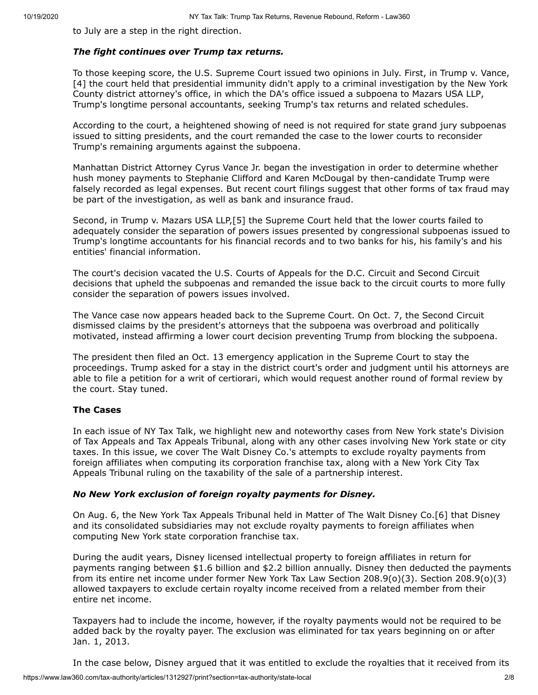to July are a step in the right direction.

### *The fight continues over Trump tax returns.*

To those keeping score, the U.S. Supreme Court issued two opinions in July. First, in Trump v. Vance, [4] the court held that presidential immunity didn't apply to a criminal investigation by the New York County district attorney's office, in which the DA's office issued a subpoena to [Mazars USA LLP](https://www.law360.com/companies/mazars-llp), Trump's longtime personal accountants, seeking Trump's tax returns and related schedules.

According to the court, a heightened showing of need is not required for state grand jury subpoenas issued to sitting presidents, and the court remanded the case to the lower courts to reconsider Trump's remaining arguments against the subpoena.

Manhattan District Attorney Cyrus Vance Jr. began the investigation in order to determine whether hush money payments to Stephanie Clifford and Karen McDougal by then-candidate Trump were falsely recorded as legal expenses. But recent court filings suggest that other forms of tax fraud may be part of the investigation, as well as bank and insurance fraud.

Second, in Trump v. Mazars USA LLP,[5] the Supreme Court held that the lower courts failed to adequately consider the separation of powers issues presented by congressional subpoenas issued to Trump's longtime accountants for his financial records and to two banks for his, his family's and his entities' financial information.

The court's decision vacated the U.S. Courts of Appeals for the D.C. Circuit and Second Circuit decisions that upheld the subpoenas and remanded the issue back to the circuit courts to more fully consider the separation of powers issues involved.

The Vance case now appears headed back to the Supreme Court. On Oct. 7, the Second Circuit dismissed claims by the president's attorneys that the subpoena was overbroad and politically motivated, instead affirming a lower court decision preventing Trump from blocking the subpoena.

The president then filed an Oct. 13 emergency application in the Supreme Court to stay the proceedings. Trump asked for a stay in the district court's order and judgment until his attorneys are able to file a petition for a writ of certiorari, which would request another round of formal review by the court. Stay tuned.

# **The Cases**

In each issue of NY Tax Talk, we highlight new and noteworthy cases from New York state's Division of Tax Appeals and Tax Appeals Tribunal, along with any other cases involving New York state or city taxes. In this issue, we cover [The Walt Disney Co.](https://www.law360.com/companies/the-walt-disney-co)'s attempts to exclude royalty payments from foreign affiliates when computing its corporation franchise tax, along with a New York City Tax Appeals Tribunal ruling on the taxability of the sale of a partnership interest.

# *No New York exclusion of foreign royalty payments for Disney.*

On Aug. 6, the [New York Tax Appeals Tribunal](https://www.law360.com/agencies/new-york-state-tax-appeals-and-tax-appeals-tribunal) held in Matter of The Walt Disney Co.[6] that Disney and its consolidated subsidiaries may not exclude royalty payments to foreign affiliates when computing New York state corporation franchise tax.

During the audit years, Disney licensed intellectual property to foreign affiliates in return for payments ranging between \$1.6 billion and \$2.2 billion annually. Disney then deducted the payments from its entire net income under former New York Tax Law Section 208.9(o)(3). Section 208.9(o)(3) allowed taxpayers to exclude certain royalty income received from a related member from their entire net income.

Taxpayers had to include the income, however, if the royalty payments would not be required to be added back by the royalty payer. The exclusion was eliminated for tax years beginning on or after Jan. 1, 2013.

In the case below, Disney argued that it was entitled to exclude the royalties that it received from its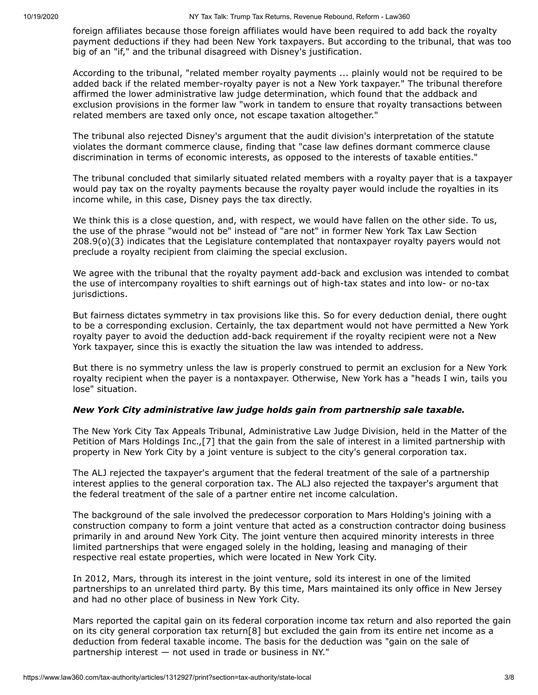foreign affiliates because those foreign affiliates would have been required to add back the royalty payment deductions if they had been New York taxpayers. But according to the tribunal, that was too big of an "if," and the tribunal disagreed with Disney's justification.

According to the tribunal, "related member royalty payments ... plainly would not be required to be added back if the related member-royalty payer is not a New York taxpayer." The tribunal therefore affirmed the lower administrative law judge determination, which found that the addback and exclusion provisions in the former law "work in tandem to ensure that royalty transactions between related members are taxed only once, not escape taxation altogether."

The tribunal also rejected Disney's argument that the audit division's interpretation of the statute violates the dormant commerce clause, finding that "case law defines dormant commerce clause discrimination in terms of economic interests, as opposed to the interests of taxable entities."

The tribunal concluded that similarly situated related members with a royalty payer that is a taxpayer would pay tax on the royalty payments because the royalty payer would include the royalties in its income while, in this case, Disney pays the tax directly.

We think this is a close question, and, with respect, we would have fallen on the other side. To us, the use of the phrase "would not be" instead of "are not" in former New York Tax Law Section 208.9(o)(3) indicates that the Legislature contemplated that nontaxpayer royalty payers would not preclude a royalty recipient from claiming the special exclusion.

We agree with the tribunal that the royalty payment add-back and exclusion was intended to combat the use of intercompany royalties to shift earnings out of high-tax states and into low- or no-tax jurisdictions.

But fairness dictates symmetry in tax provisions like this. So for every deduction denial, there ought to be a corresponding exclusion. Certainly, the tax department would not have permitted a New York royalty payer to avoid the deduction add-back requirement if the royalty recipient were not a New York taxpayer, since this is exactly the situation the law was intended to address.

But there is no symmetry unless the law is properly construed to permit an exclusion for a New York royalty recipient when the payer is a nontaxpayer. Otherwise, New York has a "heads I win, tails you lose" situation.

# *New York City administrative law judge holds gain from partnership sale taxable.*

The New York City Tax Appeals Tribunal, Administrative Law Judge Division, held in the Matter of the Petition of Mars Holdings Inc.,[7] that the gain from the sale of interest in a limited partnership with property in New York City by a joint venture is subject to the city's general corporation tax.

The ALJ rejected the taxpayer's argument that the federal treatment of the sale of a partnership interest applies to the general corporation tax. The ALJ also rejected the taxpayer's argument that the federal treatment of the sale of a partner entire net income calculation.

The background of the sale involved the predecessor corporation to Mars Holding's joining with a construction company to form a joint venture that acted as a construction contractor doing business primarily in and around New York City. The joint venture then acquired minority interests in three limited partnerships that were engaged solely in the holding, leasing and managing of their respective real estate properties, which were located in New York City.

In 2012, Mars, through its interest in the joint venture, sold its interest in one of the limited partnerships to an unrelated third party. By this time, Mars maintained its only office in New Jersey and had no other place of business in New York City.

Mars reported the capital gain on its federal corporation income tax return and also reported the gain on its city general corporation tax return[8] but excluded the gain from its entire net income as a deduction from federal taxable income. The basis for the deduction was "gain on the sale of partnership interest — not used in trade or business in NY."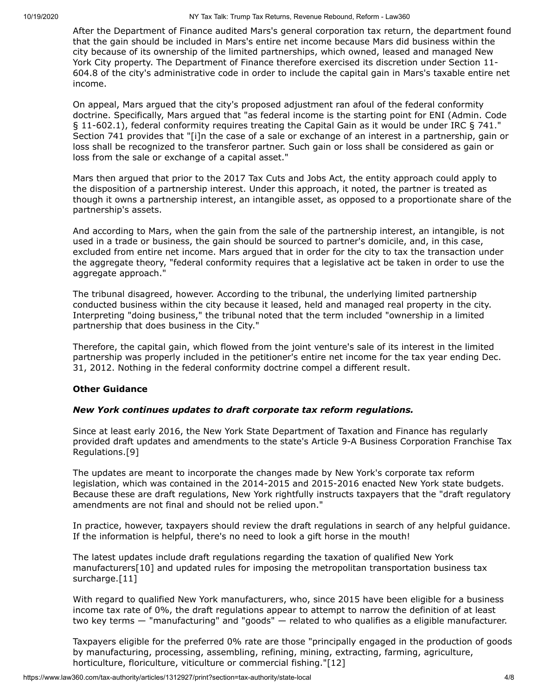After the Department of Finance audited Mars's general corporation tax return, the department found that the gain should be included in Mars's entire net income because Mars did business within the city because of its ownership of the limited partnerships, which owned, leased and managed New York City property. The Department of Finance therefore exercised its discretion under Section 11- 604.8 of the city's administrative code in order to include the capital gain in Mars's taxable entire net income.

On appeal, Mars argued that the city's proposed adjustment ran afoul of the federal conformity doctrine. Specifically, Mars argued that "as federal income is the starting point for ENI (Admin. Code § 11-602.1), federal conformity requires treating the Capital Gain as it would be under IRC § 741." Section 741 provides that "[i]n the case of a sale or exchange of an interest in a partnership, gain or loss shall be recognized to the transferor partner. Such gain or loss shall be considered as gain or loss from the sale or exchange of a capital asset."

Mars then argued that prior to the 2017 Tax Cuts and Jobs Act, the entity approach could apply to the disposition of a partnership interest. Under this approach, it noted, the partner is treated as though it owns a partnership interest, an intangible asset, as opposed to a proportionate share of the partnership's assets.

And according to Mars, when the gain from the sale of the partnership interest, an intangible, is not used in a trade or business, the gain should be sourced to partner's domicile, and, in this case, excluded from entire net income. Mars argued that in order for the city to tax the transaction under the aggregate theory, "federal conformity requires that a legislative act be taken in order to use the aggregate approach."

The tribunal disagreed, however. According to the tribunal, the underlying limited partnership conducted business within the city because it leased, held and managed real property in the city. Interpreting "doing business," the tribunal noted that the term included "ownership in a limited partnership that does business in the City."

Therefore, the capital gain, which flowed from the joint venture's sale of its interest in the limited partnership was properly included in the petitioner's entire net income for the tax year ending Dec. 31, 2012. Nothing in the federal conformity doctrine compel a different result.

#### **Other Guidance**

# *New York continues updates to draft corporate tax reform regulations.*

Since at least early 2016, the New York State Department of Taxation and Finance has regularly provided draft updates and amendments to the state's Article 9-A Business Corporation Franchise Tax Regulations.[9]

The updates are meant to incorporate the changes made by New York's corporate tax reform legislation, which was contained in the 2014-2015 and 2015-2016 enacted New York state budgets. Because these are draft regulations, New York rightfully instructs taxpayers that the "draft regulatory amendments are not final and should not be relied upon."

In practice, however, taxpayers should review the draft regulations in search of any helpful guidance. If the information is helpful, there's no need to look a gift horse in the mouth!

The latest updates include draft regulations regarding the taxation of qualified New York manufacturers[10] and updated rules for imposing the metropolitan transportation business tax surcharge.[11]

With regard to qualified New York manufacturers, who, since 2015 have been eligible for a business income tax rate of 0%, the draft regulations appear to attempt to narrow the definition of at least two key terms — "manufacturing" and "goods" — related to who qualifies as a eligible manufacturer.

Taxpayers eligible for the preferred 0% rate are those "principally engaged in the production of goods by manufacturing, processing, assembling, refining, mining, extracting, farming, agriculture, horticulture, floriculture, viticulture or commercial fishing."[12]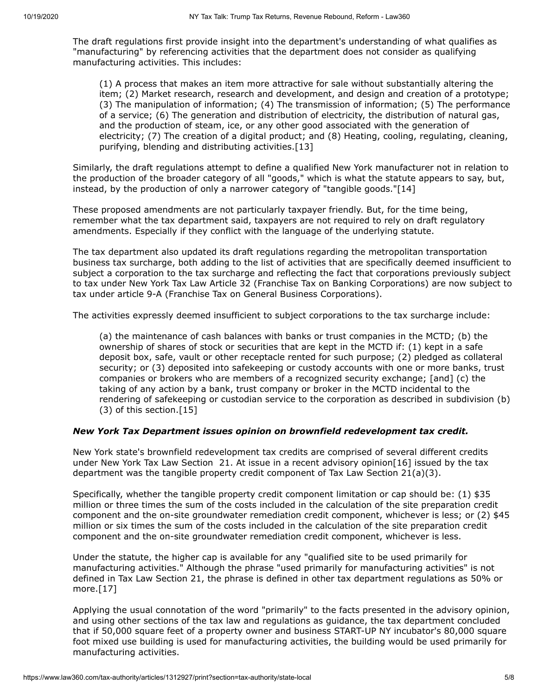The draft regulations first provide insight into the department's understanding of what qualifies as "manufacturing" by referencing activities that the department does not consider as qualifying manufacturing activities. This includes:

(1) A process that makes an item more attractive for sale without substantially altering the item; (2) Market research, research and development, and design and creation of a prototype; (3) The manipulation of information; (4) The transmission of information; (5) The performance of a service; (6) The generation and distribution of electricity, the distribution of natural gas, and the production of steam, ice, or any other good associated with the generation of electricity; (7) The creation of a digital product; and (8) Heating, cooling, regulating, cleaning, purifying, blending and distributing activities.[13]

Similarly, the draft regulations attempt to define a qualified New York manufacturer not in relation to the production of the broader category of all "goods," which is what the statute appears to say, but, instead, by the production of only a narrower category of "tangible goods."[14]

These proposed amendments are not particularly taxpayer friendly. But, for the time being, remember what the tax department said, taxpayers are not required to rely on draft regulatory amendments. Especially if they conflict with the language of the underlying statute.

The tax department also updated its draft regulations regarding the metropolitan transportation business tax surcharge, both adding to the list of activities that are specifically deemed insufficient to subject a corporation to the tax surcharge and reflecting the fact that corporations previously subject to tax under New York Tax Law Article 32 (Franchise Tax on Banking Corporations) are now subject to tax under article 9-A (Franchise Tax on General Business Corporations).

The activities expressly deemed insufficient to subject corporations to the tax surcharge include:

(a) the maintenance of cash balances with banks or trust companies in the MCTD; (b) the ownership of shares of stock or securities that are kept in the MCTD if: (1) kept in a safe deposit box, safe, vault or other receptacle rented for such purpose; (2) pledged as collateral security; or (3) deposited into safekeeping or custody accounts with one or more banks, trust companies or brokers who are members of a recognized security exchange; [and] (c) the taking of any action by a bank, trust company or broker in the MCTD incidental to the rendering of safekeeping or custodian service to the corporation as described in subdivision (b) (3) of this section.[15]

#### *New York Tax Department issues opinion on brownfield redevelopment tax credit.*

New York state's brownfield redevelopment tax credits are comprised of several different credits under New York Tax Law Section 21. At issue in a recent advisory opinion [16] issued by the tax department was the tangible property credit component of Tax Law Section 21(a)(3).

Specifically, whether the tangible property credit component limitation or cap should be: (1) \$35 million or three times the sum of the costs included in the calculation of the site preparation credit component and the on-site groundwater remediation credit component, whichever is less; or (2) \$45 million or six times the sum of the costs included in the calculation of the site preparation credit component and the on-site groundwater remediation credit component, whichever is less.

Under the statute, the higher cap is available for any "qualified site to be used primarily for manufacturing activities." Although the phrase "used primarily for manufacturing activities" is not defined in Tax Law Section 21, the phrase is defined in other tax department regulations as 50% or more.[17]

Applying the usual connotation of the word "primarily" to the facts presented in the advisory opinion, and using other sections of the tax law and regulations as guidance, the tax department concluded that if 50,000 square feet of a property owner and business START-UP NY incubator's 80,000 square foot mixed use building is used for manufacturing activities, the building would be used primarily for manufacturing activities.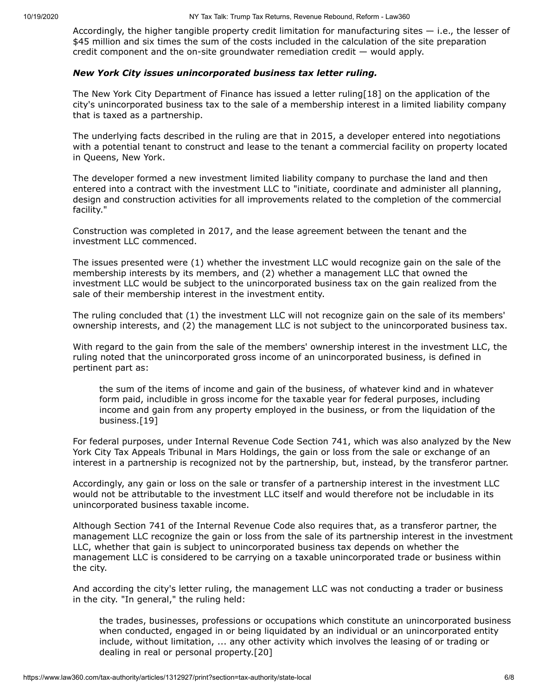Accordingly, the higher tangible property credit limitation for manufacturing sites — i.e., the lesser of \$45 million and six times the sum of the costs included in the calculation of the site preparation credit component and the on-site groundwater remediation credit — would apply.

#### *New York City issues unincorporated business tax letter ruling.*

The New York City Department of Finance has issued a letter ruling[18] on the application of the city's unincorporated business tax to the sale of a membership interest in a limited liability company that is taxed as a partnership.

The underlying facts described in the ruling are that in 2015, a developer entered into negotiations with a potential tenant to construct and lease to the tenant a commercial facility on property located in Queens, New York.

The developer formed a new investment limited liability company to purchase the land and then entered into a contract with the investment LLC to "initiate, coordinate and administer all planning, design and construction activities for all improvements related to the completion of the commercial facility."

Construction was completed in 2017, and the lease agreement between the tenant and the investment LLC commenced.

The issues presented were (1) whether the investment LLC would recognize gain on the sale of the membership interests by its members, and (2) whether a management LLC that owned the investment LLC would be subject to the unincorporated business tax on the gain realized from the sale of their membership interest in the investment entity.

The ruling concluded that (1) the investment LLC will not recognize gain on the sale of its members' ownership interests, and (2) the management LLC is not subject to the unincorporated business tax.

With regard to the gain from the sale of the members' ownership interest in the investment LLC, the ruling noted that the unincorporated gross income of an unincorporated business, is defined in pertinent part as:

the sum of the items of income and gain of the business, of whatever kind and in whatever form paid, includible in gross income for the taxable year for federal purposes, including income and gain from any property employed in the business, or from the liquidation of the business.[19]

For federal purposes, under Internal Revenue Code Section 741, which was also analyzed by the New York City Tax Appeals Tribunal in Mars Holdings, the gain or loss from the sale or exchange of an interest in a partnership is recognized not by the partnership, but, instead, by the transferor partner.

Accordingly, any gain or loss on the sale or transfer of a partnership interest in the investment LLC would not be attributable to the investment LLC itself and would therefore not be includable in its unincorporated business taxable income.

Although Section 741 of the Internal Revenue Code also requires that, as a transferor partner, the management LLC recognize the gain or loss from the sale of its partnership interest in the investment LLC, whether that gain is subject to unincorporated business tax depends on whether the management LLC is considered to be carrying on a taxable unincorporated trade or business within the city.

And according the city's letter ruling, the management LLC was not conducting a trader or business in the city. "In general," the ruling held:

the trades, businesses, professions or occupations which constitute an unincorporated business when conducted, engaged in or being liquidated by an individual or an unincorporated entity include, without limitation, ... any other activity which involves the leasing of or trading or dealing in real or personal property.[20]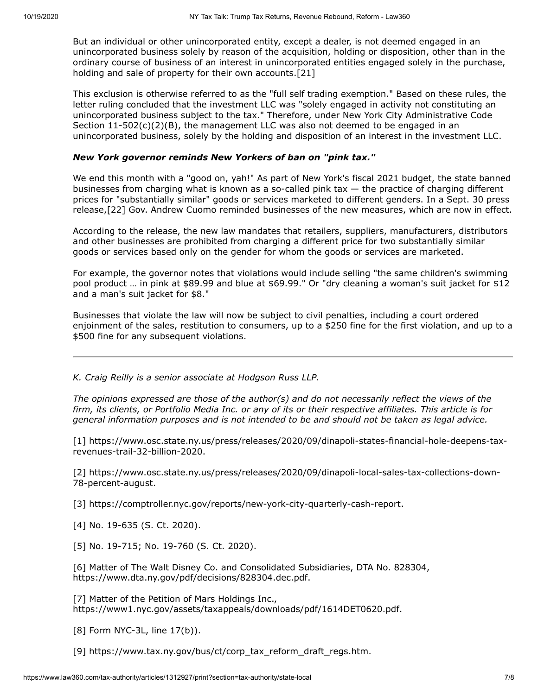But an individual or other unincorporated entity, except a dealer, is not deemed engaged in an unincorporated business solely by reason of the acquisition, holding or disposition, other than in the ordinary course of business of an interest in unincorporated entities engaged solely in the purchase, holding and sale of property for their own accounts.[21]

This exclusion is otherwise referred to as the "full self trading exemption." Based on these rules, the letter ruling concluded that the investment LLC was "solely engaged in activity not constituting an unincorporated business subject to the tax." Therefore, under New York City Administrative Code Section 11-502(c)(2)(B), the management LLC was also not deemed to be engaged in an unincorporated business, solely by the holding and disposition of an interest in the investment LLC.

#### *New York governor reminds New Yorkers of ban on "pink tax."*

We end this month with a "good on, yah!" As part of New York's fiscal 2021 budget, the state banned businesses from charging what is known as a so-called pink tax — the practice of charging different prices for "substantially similar" goods or services marketed to different genders. In a Sept. 30 press release,[22] Gov. Andrew Cuomo reminded businesses of the new measures, which are now in effect.

According to the release, the new law mandates that retailers, suppliers, manufacturers, distributors and other businesses are prohibited from charging a different price for two substantially similar goods or services based only on the gender for whom the goods or services are marketed.

For example, the governor notes that violations would include selling "the same children's swimming pool product … in pink at \$89.99 and blue at \$69.99." Or "dry cleaning a woman's suit jacket for \$12 and a man's suit jacket for \$8."

Businesses that violate the law will now be subject to civil penalties, including a court ordered enjoinment of the sales, restitution to consumers, up to a \$250 fine for the first violation, and up to a \$500 fine for any subsequent violations.

*[K. Craig Reilly](https://www.hodgsonruss.com/professionals-Craig-Reilly.html) is a senior associate at [Hodgson Russ LLP](https://www.law360.com/firms/hodgson-russ).*

*The opinions expressed are those of the author(s) and do not necessarily reflect the views of the firm, its clients, or Portfolio Media Inc. or any of its or their respective affiliates. This article is for general information purposes and is not intended to be and should not be taken as legal advice.*

[\[1\] https://www.osc.state.ny.us/press/releases/2020/09/dinapoli-states-financial-hole-deepens-tax](https://www.osc.state.ny.us/press/releases/2020/09/dinapoli-states-financial-hole-deepens-tax-revenues-trail-32-billion-2020)revenues-trail-32-billion-2020.

[\[2\] https://www.osc.state.ny.us/press/releases/2020/09/dinapoli-local-sales-tax-collections-down-](https://www.osc.state.ny.us/press/releases/2020/09/dinapoli-local-sales-tax-collections-down-78-percent-august)78-percent-august.

[3] <https://comptroller.nyc.gov/reports/new-york-city-quarterly-cash-report>.

[4] No. 19-635 (S. Ct. 2020).

[5] No. 19-715; No. 19-760 (S. Ct. 2020).

[6] Matter of The Walt Disney Co. and Consolidated Subsidiaries, DTA No. 828304, <https://www.dta.ny.gov/pdf/decisions/828304.dec.pdf>.

[7] Matter of the Petition of Mars Holdings Inc., <https://www1.nyc.gov/assets/taxappeals/downloads/pdf/1614DET0620.pdf>.

[8] Form NYC-3L, line 17(b)).

[9] [https://www.tax.ny.gov/bus/ct/corp\\_tax\\_reform\\_draft\\_regs.htm.](https://www.tax.ny.gov/bus/ct/corp_tax_reform_draft_regs.htm)